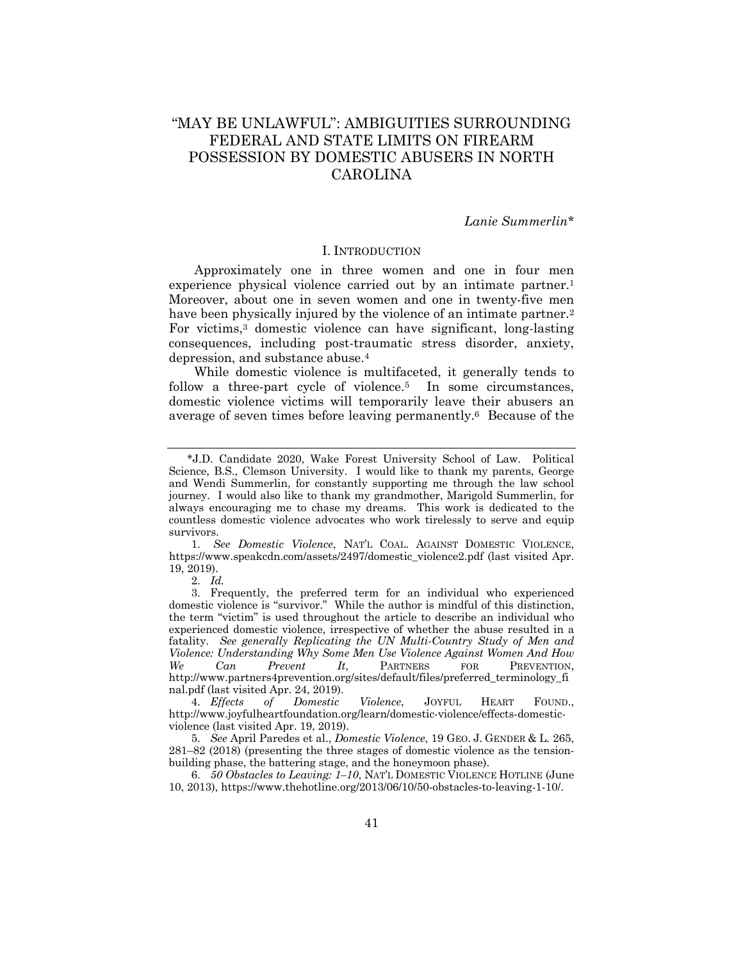# "MAY BE UNLAWFUL": AMBIGUITIES SURROUNDING FEDERAL AND STATE LIMITS ON FIREARM POSSESSION BY DOMESTIC ABUSERS IN NORTH CAROLINA

# *Lanie Summerlin\**

#### I. INTRODUCTION

Approximately one in three women and one in four men experience physical violence carried out by an intimate partner.<sup>1</sup> Moreover, about one in seven women and one in twenty-five men have been physically injured by the violence of an intimate partner.<sup>2</sup> For victims,3 domestic violence can have significant, long-lasting consequences, including post-traumatic stress disorder, anxiety, depression, and substance abuse.4

While domestic violence is multifaceted, it generally tends to follow a three-part cycle of violence.<sup>5</sup> In some circumstances, domestic violence victims will temporarily leave their abusers an average of seven times before leaving permanently.6 Because of the

1. *See Domestic Violence*, NAT'L COAL. AGAINST DOMESTIC VIOLENCE, https://www.speakcdn.com/assets/2497/domestic\_violence2.pdf (last visited Apr. 19, 2019).

2. *Id.*

3. Frequently, the preferred term for an individual who experienced domestic violence is "survivor." While the author is mindful of this distinction, the term "victim" is used throughout the article to describe an individual who experienced domestic violence, irrespective of whether the abuse resulted in a fatality. *See generally Replicating the UN Multi-Country Study of Men and Violence: Understanding Why Some Men Use Violence Against Women And How We Can Prevent It*, PARTNERS FOR PREVENTION, http://www.partners4prevention.org/sites/default/files/preferred\_terminology\_fi nal.pdf (last visited Apr. 24, 2019).

4. *Effects of Domestic Violence*, JOYFUL HEART FOUND., http://www.joyfulheartfoundation.org/learn/domestic-violence/effects-domesticviolence (last visited Apr. 19, 2019).

5. *See* April Paredes et al., *Domestic Violence*, 19 GEO. J. GENDER & L. 265, 281–82 (2018) (presenting the three stages of domestic violence as the tensionbuilding phase, the battering stage, and the honeymoon phase).

6. *50 Obstacles to Leaving: 1–10*, NAT'L DOMESTIC VIOLENCE HOTLINE (June 10, 2013), https://www.thehotline.org/2013/06/10/50-obstacles-to-leaving-1-10/.

 <sup>\*</sup>J.D. Candidate 2020, Wake Forest University School of Law. Political Science, B.S., Clemson University. I would like to thank my parents, George and Wendi Summerlin, for constantly supporting me through the law school journey. I would also like to thank my grandmother, Marigold Summerlin, for always encouraging me to chase my dreams. This work is dedicated to the countless domestic violence advocates who work tirelessly to serve and equip survivors.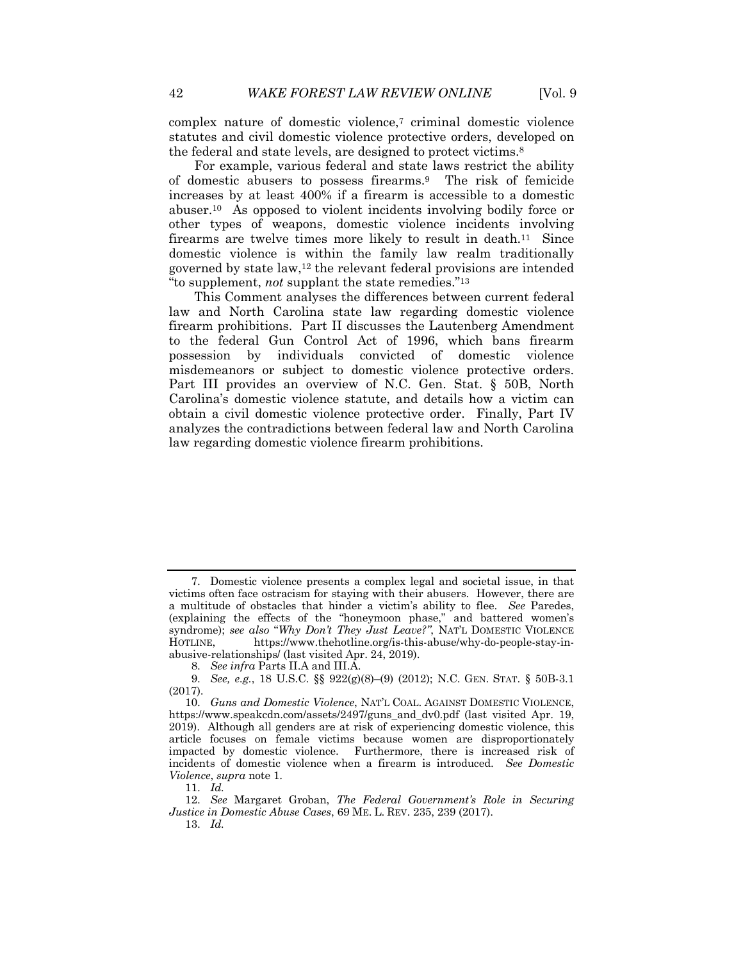complex nature of domestic violence,7 criminal domestic violence statutes and civil domestic violence protective orders, developed on the federal and state levels, are designed to protect victims.8

For example, various federal and state laws restrict the ability of domestic abusers to possess firearms.9 The risk of femicide increases by at least 400% if a firearm is accessible to a domestic abuser.10 As opposed to violent incidents involving bodily force or other types of weapons, domestic violence incidents involving firearms are twelve times more likely to result in death.<sup>11</sup> Since domestic violence is within the family law realm traditionally governed by state law,12 the relevant federal provisions are intended "to supplement, *not* supplant the state remedies."13

This Comment analyses the differences between current federal law and North Carolina state law regarding domestic violence firearm prohibitions. Part II discusses the Lautenberg Amendment to the federal Gun Control Act of 1996, which bans firearm possession by individuals convicted of domestic violence misdemeanors or subject to domestic violence protective orders. Part III provides an overview of N.C. Gen. Stat. § 50B, North Carolina's domestic violence statute, and details how a victim can obtain a civil domestic violence protective order. Finally, Part IV analyzes the contradictions between federal law and North Carolina law regarding domestic violence firearm prohibitions.

13. *Id.*

<sup>7.</sup> Domestic violence presents a complex legal and societal issue, in that victims often face ostracism for staying with their abusers. However, there are a multitude of obstacles that hinder a victim's ability to flee. *See* Paredes, (explaining the effects of the "honeymoon phase," and battered women's syndrome); *see also* "*Why Don't They Just Leave?"*, NAT'L DOMESTIC VIOLENCE HOTLINE, https://www.thehotline.org/is-this-abuse/why-do-people-stay-inabusive-relationships/ (last visited Apr. 24, 2019).

<sup>8.</sup> *See infra* Parts II.A and III.A.

<sup>9.</sup> *See, e.g.*, 18 U.S.C. §§ 922(g)(8)–(9) (2012); N.C. GEN. STAT. § 50B-3.1 (2017).

<sup>10.</sup> *Guns and Domestic Violence*, NAT'L COAL. AGAINST DOMESTIC VIOLENCE, https://www.speakcdn.com/assets/2497/guns\_and\_dv0.pdf (last visited Apr. 19, 2019). Although all genders are at risk of experiencing domestic violence, this article focuses on female victims because women are disproportionately impacted by domestic violence. Furthermore, there is increased risk of incidents of domestic violence when a firearm is introduced. *See Domestic Violence*, *supra* note 1.

<sup>11.</sup> *Id.*

<sup>12.</sup> *See* Margaret Groban, *The Federal Government's Role in Securing Justice in Domestic Abuse Cases*, 69 ME. L. REV. 235, 239 (2017).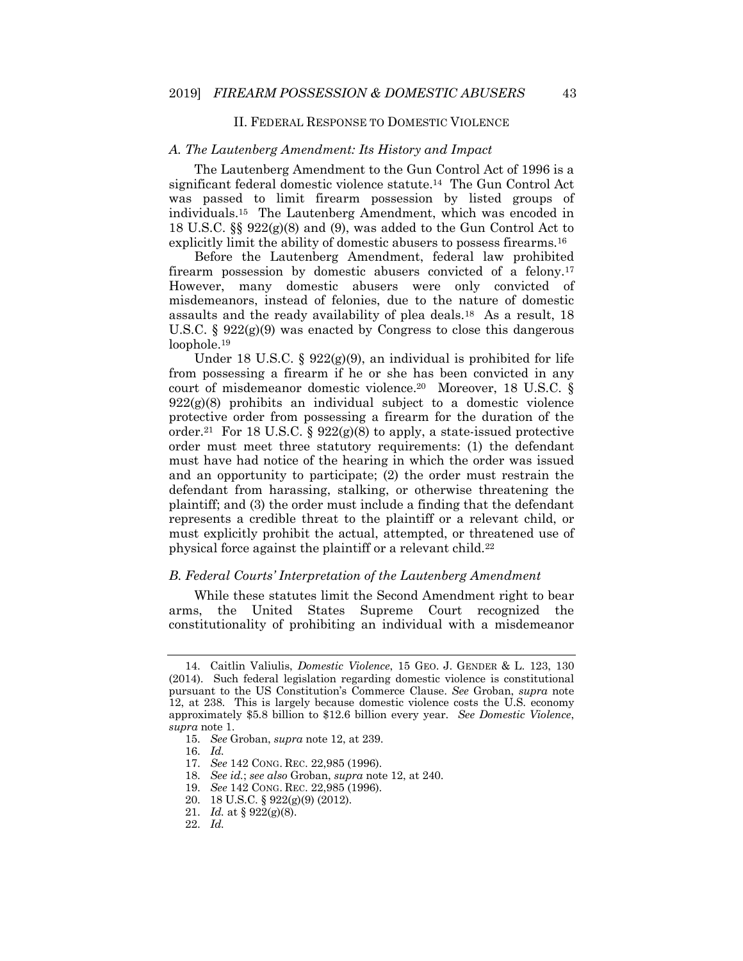# II. FEDERAL RESPONSE TO DOMESTIC VIOLENCE

#### *A. The Lautenberg Amendment: Its History and Impact*

The Lautenberg Amendment to the Gun Control Act of 1996 is a significant federal domestic violence statute.14 The Gun Control Act was passed to limit firearm possession by listed groups of individuals.15 The Lautenberg Amendment, which was encoded in 18 U.S.C. §§ 922(g)(8) and (9), was added to the Gun Control Act to explicitly limit the ability of domestic abusers to possess firearms.16

Before the Lautenberg Amendment, federal law prohibited firearm possession by domestic abusers convicted of a felony.17 However, many domestic abusers were only convicted of misdemeanors, instead of felonies, due to the nature of domestic assaults and the ready availability of plea deals.18 As a result, 18 U.S.C.  $\S 922(g)(9)$  was enacted by Congress to close this dangerous loophole.19

Under 18 U.S.C. § 922(g)(9), an individual is prohibited for life from possessing a firearm if he or she has been convicted in any court of misdemeanor domestic violence.20 Moreover, 18 U.S.C. §  $922(g)(8)$  prohibits an individual subject to a domestic violence protective order from possessing a firearm for the duration of the order.<sup>21</sup> For 18 U.S.C. §  $922(g)(8)$  to apply, a state-issued protective order must meet three statutory requirements: (1) the defendant must have had notice of the hearing in which the order was issued and an opportunity to participate; (2) the order must restrain the defendant from harassing, stalking, or otherwise threatening the plaintiff; and (3) the order must include a finding that the defendant represents a credible threat to the plaintiff or a relevant child, or must explicitly prohibit the actual, attempted, or threatened use of physical force against the plaintiff or a relevant child.22

#### *B. Federal Courts' Interpretation of the Lautenberg Amendment*

While these statutes limit the Second Amendment right to bear arms, the United States Supreme Court recognized the constitutionality of prohibiting an individual with a misdemeanor

<sup>14.</sup> Caitlin Valiulis, *Domestic Violence*, 15 GEO. J. GENDER & L. 123, 130 (2014). Such federal legislation regarding domestic violence is constitutional pursuant to the US Constitution's Commerce Clause. *See* Groban, *supra* note 12, at 238. This is largely because domestic violence costs the U.S. economy approximately \$5.8 billion to \$12.6 billion every year. *See Domestic Violence*, *supra* note 1.

<sup>15.</sup> *See* Groban, *supra* note 12, at 239.

<sup>16.</sup> *Id.*

<sup>17.</sup> *See* 142 CONG. REC. 22,985 (1996).

<sup>18.</sup> *See id.*; *see also* Groban, *supra* note 12, at 240.

<sup>19.</sup> *See* 142 CONG. REC. 22,985 (1996).

<sup>20.</sup> 18 U.S.C. § 922(g)(9) (2012).

<sup>21.</sup> *Id.* at § 922(g)(8).

<sup>22.</sup> *Id.*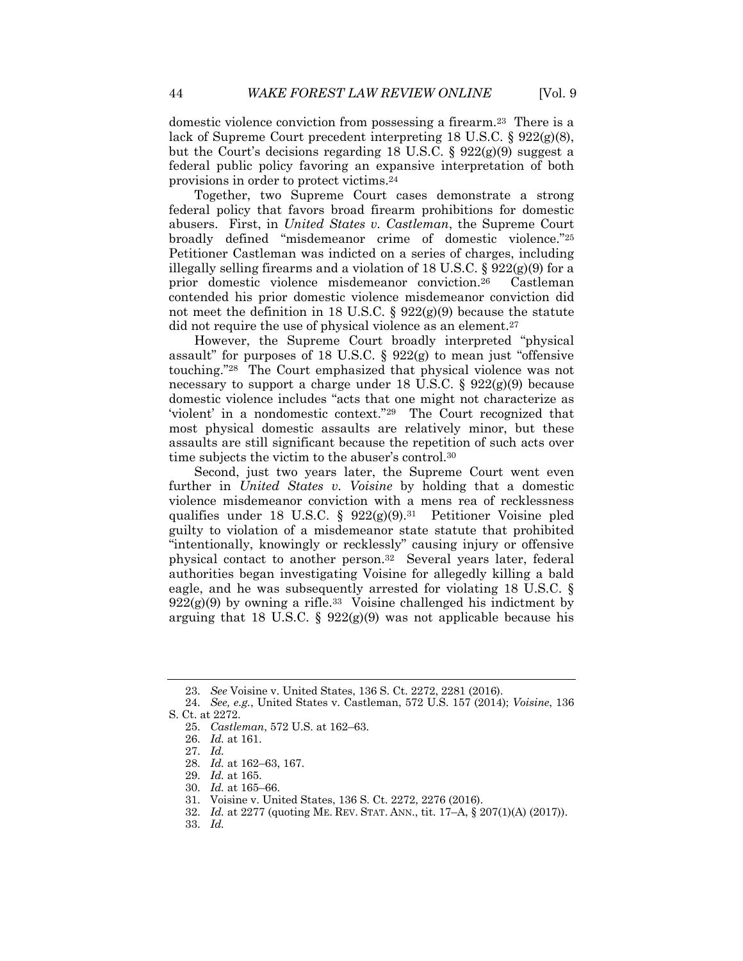domestic violence conviction from possessing a firearm.23 There is a lack of Supreme Court precedent interpreting 18 U.S.C.  $\S 922(g)(8)$ , but the Court's decisions regarding 18 U.S.C. § 922(g)(9) suggest a federal public policy favoring an expansive interpretation of both provisions in order to protect victims.24

Together, two Supreme Court cases demonstrate a strong federal policy that favors broad firearm prohibitions for domestic abusers. First, in *United States v. Castleman*, the Supreme Court broadly defined "misdemeanor crime of domestic violence."25 Petitioner Castleman was indicted on a series of charges, including illegally selling firearms and a violation of 18 U.S.C.  $\S 922(g)(9)$  for a prior domestic violence misdemeanor conviction.26 Castleman contended his prior domestic violence misdemeanor conviction did not meet the definition in 18 U.S.C. §  $922(g)(9)$  because the statute did not require the use of physical violence as an element.<sup>27</sup>

However, the Supreme Court broadly interpreted "physical assault" for purposes of 18 U.S.C.  $\S 922(g)$  to mean just "offensive touching."28 The Court emphasized that physical violence was not necessary to support a charge under 18 U.S.C. § 922(g)(9) because domestic violence includes "acts that one might not characterize as 'violent' in a nondomestic context."29 The Court recognized that most physical domestic assaults are relatively minor, but these assaults are still significant because the repetition of such acts over time subjects the victim to the abuser's control.30

Second, just two years later, the Supreme Court went even further in *United States v. Voisine* by holding that a domestic violence misdemeanor conviction with a mens rea of recklessness qualifies under 18 U.S.C. §  $922(g)(9)^{31}$  Petitioner Voisine pled guilty to violation of a misdemeanor state statute that prohibited "intentionally, knowingly or recklessly" causing injury or offensive physical contact to another person.32 Several years later, federal authorities began investigating Voisine for allegedly killing a bald eagle, and he was subsequently arrested for violating 18 U.S.C. §  $922(g)(9)$  by owning a rifle.<sup>33</sup> Voisine challenged his indictment by arguing that 18 U.S.C. §  $922(g)(9)$  was not applicable because his

- 29. *Id.* at 165.
- 30. *Id.* at 165–66.

33. *Id.*

<sup>23.</sup> *See* Voisine v. United States, 136 S. Ct. 2272, 2281 (2016).

<sup>24.</sup> *See, e.g.*, United States v. Castleman, 572 U.S. 157 (2014); *Voisine*, 136 S. Ct. at 2272.

<sup>25.</sup> *Castleman*, 572 U.S. at 162–63.

<sup>26.</sup> *Id.* at 161.

<sup>27.</sup> *Id.*

<sup>28.</sup> *Id.* at 162–63, 167.

<sup>31.</sup> Voisine v. United States, 136 S. Ct. 2272, 2276 (2016).

<sup>32.</sup> *Id.* at 2277 (quoting ME. REV. STAT. ANN., tit. 17–A, § 207(1)(A) (2017)).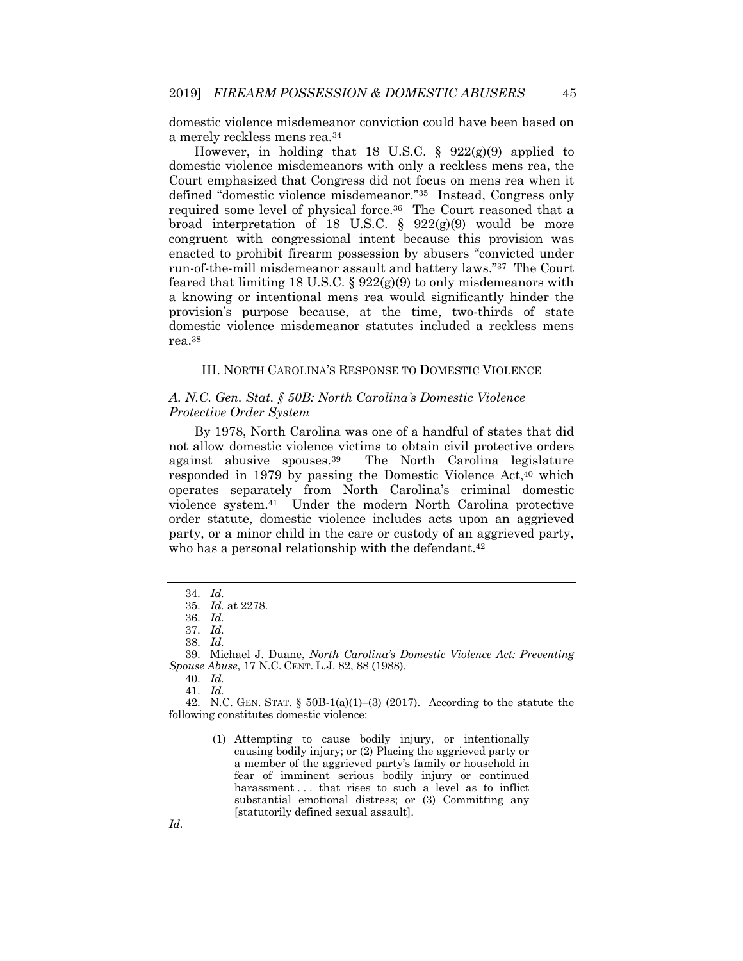domestic violence misdemeanor conviction could have been based on a merely reckless mens rea.34

However, in holding that 18 U.S.C. §  $922(g)(9)$  applied to domestic violence misdemeanors with only a reckless mens rea, the Court emphasized that Congress did not focus on mens rea when it defined "domestic violence misdemeanor."35 Instead, Congress only required some level of physical force.36 The Court reasoned that a broad interpretation of 18 U.S.C.  $\S$  922(g)(9) would be more congruent with congressional intent because this provision was enacted to prohibit firearm possession by abusers "convicted under run-of-the-mill misdemeanor assault and battery laws."37 The Court feared that limiting 18 U.S.C.  $\S 922(g)(9)$  to only misdemeanors with a knowing or intentional mens rea would significantly hinder the provision's purpose because, at the time, two-thirds of state domestic violence misdemeanor statutes included a reckless mens rea.38

# III. NORTH CAROLINA'S RESPONSE TO DOMESTIC VIOLENCE

# *A. N.C. Gen. Stat. § 50B: North Carolina's Domestic Violence Protective Order System*

By 1978, North Carolina was one of a handful of states that did not allow domestic violence victims to obtain civil protective orders against abusive spouses.39 The North Carolina legislature responded in 1979 by passing the Domestic Violence Act,40 which operates separately from North Carolina's criminal domestic violence system.41 Under the modern North Carolina protective order statute, domestic violence includes acts upon an aggrieved party, or a minor child in the care or custody of an aggrieved party, who has a personal relationship with the defendant.<sup>42</sup>

38. *Id.*

39. Michael J. Duane, *North Carolina's Domestic Violence Act: Preventing Spouse Abuse*, 17 N.C. CENT. L.J. 82, 88 (1988).

40. *Id.*

41. *Id.*

42. N.C. GEN. STAT.  $\S$  50B-1(a)(1)–(3) (2017). According to the statute the following constitutes domestic violence:

<sup>34.</sup> *Id.*

<sup>35.</sup> *Id.* at 2278.

<sup>36.</sup> *Id.*

<sup>37.</sup> *Id.*

<sup>(1)</sup> Attempting to cause bodily injury, or intentionally causing bodily injury; or (2) Placing the aggrieved party or a member of the aggrieved party's family or household in fear of imminent serious bodily injury or continued harassment . . . that rises to such a level as to inflict substantial emotional distress; or (3) Committing any [statutorily defined sexual assault].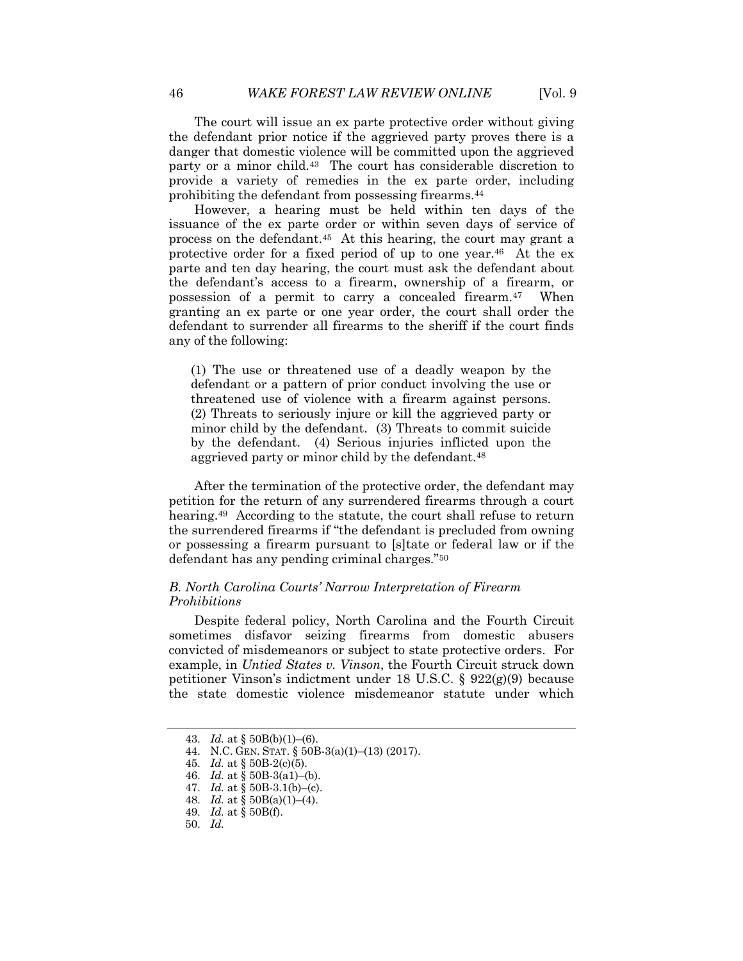The court will issue an ex parte protective order without giving the defendant prior notice if the aggrieved party proves there is a danger that domestic violence will be committed upon the aggrieved party or a minor child.43 The court has considerable discretion to provide a variety of remedies in the ex parte order, including prohibiting the defendant from possessing firearms.44

However, a hearing must be held within ten days of the issuance of the ex parte order or within seven days of service of process on the defendant.45 At this hearing, the court may grant a protective order for a fixed period of up to one year.46 At the ex parte and ten day hearing, the court must ask the defendant about the defendant's access to a firearm, ownership of a firearm, or possession of a permit to carry a concealed firearm.47 When granting an ex parte or one year order, the court shall order the defendant to surrender all firearms to the sheriff if the court finds any of the following:

(1) The use or threatened use of a deadly weapon by the defendant or a pattern of prior conduct involving the use or threatened use of violence with a firearm against persons. (2) Threats to seriously injure or kill the aggrieved party or minor child by the defendant. (3) Threats to commit suicide by the defendant. (4) Serious injuries inflicted upon the aggrieved party or minor child by the defendant.48

After the termination of the protective order, the defendant may petition for the return of any surrendered firearms through a court hearing.<sup>49</sup> According to the statute, the court shall refuse to return the surrendered firearms if "the defendant is precluded from owning or possessing a firearm pursuant to [s]tate or federal law or if the defendant has any pending criminal charges."50

# *B. North Carolina Courts' Narrow Interpretation of Firearm Prohibitions*

Despite federal policy, North Carolina and the Fourth Circuit sometimes disfavor seizing firearms from domestic abusers convicted of misdemeanors or subject to state protective orders. For example, in *Untied States v. Vinson*, the Fourth Circuit struck down petitioner Vinson's indictment under 18 U.S.C. § 922(g)(9) because the state domestic violence misdemeanor statute under which

<sup>43.</sup> *Id.* at § 50B(b)(1)–(6).

<sup>44.</sup> N.C. GEN. STAT. § 50B-3(a)(1)–(13) (2017).

<sup>45.</sup> *Id.* at § 50B-2(c)(5).

<sup>46.</sup> *Id.* at § 50B-3(a1)–(b).

<sup>47.</sup> *Id.* at § 50B-3.1(b)–(c).

<sup>48.</sup> *Id.* at § 50B(a)(1)–(4).

<sup>49.</sup> *Id.* at § 50B(f).

<sup>50.</sup> *Id.*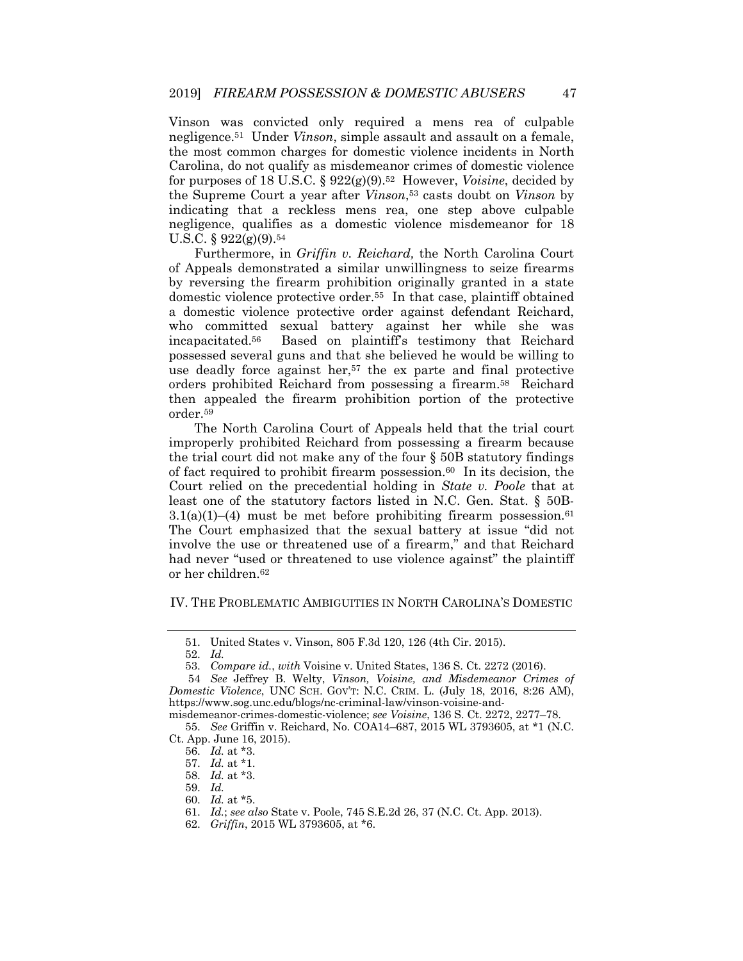Vinson was convicted only required a mens rea of culpable negligence.51 Under *Vinson*, simple assault and assault on a female, the most common charges for domestic violence incidents in North Carolina, do not qualify as misdemeanor crimes of domestic violence for purposes of 18 U.S.C. § 922(g)(9).52 However, *Voisine*, decided by the Supreme Court a year after *Vinson*,53 casts doubt on *Vinson* by indicating that a reckless mens rea, one step above culpable negligence, qualifies as a domestic violence misdemeanor for 18 U.S.C. § 922(g)(9).54

Furthermore, in *Griffin v. Reichard,* the North Carolina Court of Appeals demonstrated a similar unwillingness to seize firearms by reversing the firearm prohibition originally granted in a state domestic violence protective order.55 In that case, plaintiff obtained a domestic violence protective order against defendant Reichard, who committed sexual battery against her while she was incapacitated.56 Based on plaintiff's testimony that Reichard possessed several guns and that she believed he would be willing to use deadly force against her,<sup>57</sup> the ex parte and final protective orders prohibited Reichard from possessing a firearm.58 Reichard then appealed the firearm prohibition portion of the protective order.59

The North Carolina Court of Appeals held that the trial court improperly prohibited Reichard from possessing a firearm because the trial court did not make any of the four  $\S$  50B statutory findings of fact required to prohibit firearm possession.<sup>60</sup> In its decision, the Court relied on the precedential holding in *State v. Poole* that at least one of the statutory factors listed in N.C. Gen. Stat. § 50B- $3.1(a)(1)$ –(4) must be met before prohibiting firearm possession.<sup>61</sup> The Court emphasized that the sexual battery at issue "did not involve the use or threatened use of a firearm," and that Reichard had never "used or threatened to use violence against" the plaintiff or her children.62

# IV. THE PROBLEMATIC AMBIGUITIES IN NORTH CAROLINA'S DOMESTIC

<sup>51.</sup> United States v. Vinson, 805 F.3d 120, 126 (4th Cir. 2015).

<sup>52.</sup> *Id.*

<sup>53.</sup> *Compare id.*, *with* Voisine v. United States, 136 S. Ct. 2272 (2016).

<sup>54</sup> *See* Jeffrey B. Welty, *Vinson, Voisine, and Misdemeanor Crimes of Domestic Violence*, UNC SCH. GOV'T: N.C. CRIM. L. (July 18, 2016, 8:26 AM), https://www.sog.unc.edu/blogs/nc-criminal-law/vinson-voisine-and-

misdemeanor-crimes-domestic-violence; *see Voisine*, 136 S. Ct. 2272, 2277–78. 55. *See* Griffin v. Reichard, No. COA14–687, 2015 WL 3793605, at \*1 (N.C. Ct. App. June 16, 2015).

<sup>56.</sup> *Id.* at \*3.

<sup>57.</sup> *Id.* at \*1.

<sup>58.</sup> *Id.* at \*3.

<sup>59.</sup> *Id.*

<sup>60.</sup> *Id.* at \*5.

<sup>61.</sup> *Id.*; *see also* State v. Poole, 745 S.E.2d 26, 37 (N.C. Ct. App. 2013).

<sup>62.</sup> *Griffin*, 2015 WL 3793605, at \*6.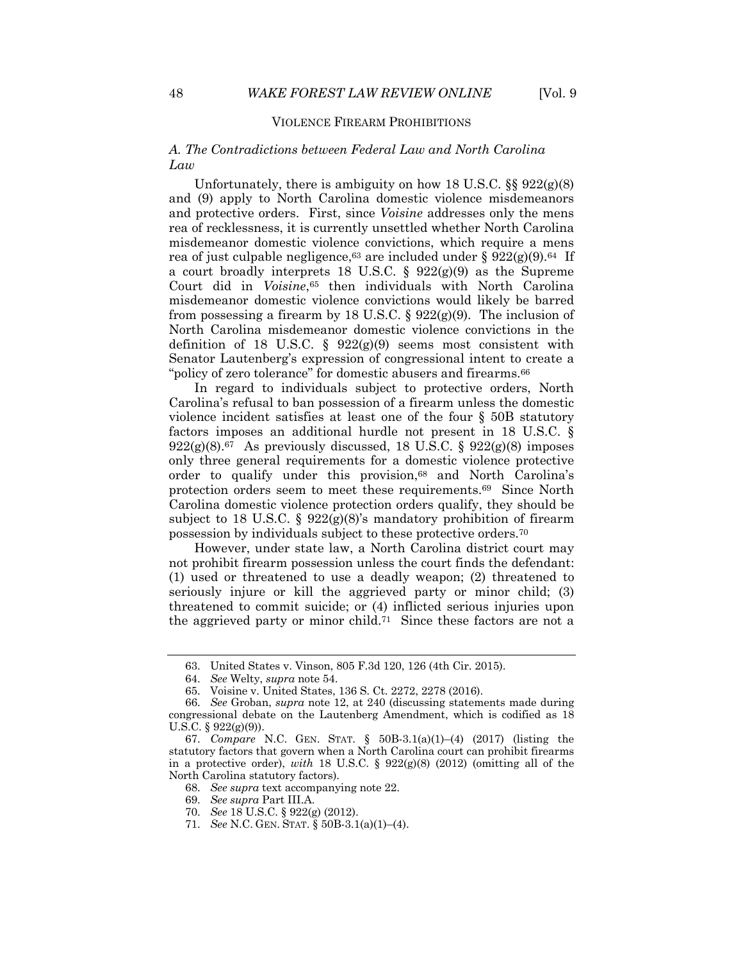# VIOLENCE FIREARM PROHIBITIONS

# *A. The Contradictions between Federal Law and North Carolina Law*

Unfortunately, there is ambiguity on how 18 U.S.C.  $\S$   $922(g)(8)$ and (9) apply to North Carolina domestic violence misdemeanors and protective orders. First, since *Voisine* addresses only the mens rea of recklessness, it is currently unsettled whether North Carolina misdemeanor domestic violence convictions, which require a mens rea of just culpable negligence,  $63$  are included under §  $922(g)(9)$ .  $64$  If a court broadly interprets 18 U.S.C. §  $922(g)(9)$  as the Supreme Court did in *Voisine*,65 then individuals with North Carolina misdemeanor domestic violence convictions would likely be barred from possessing a firearm by 18 U.S.C.  $\S 922(g)(9)$ . The inclusion of North Carolina misdemeanor domestic violence convictions in the definition of 18 U.S.C. §  $922(g)(9)$  seems most consistent with Senator Lautenberg's expression of congressional intent to create a "policy of zero tolerance" for domestic abusers and firearms.<sup>66</sup>

In regard to individuals subject to protective orders, North Carolina's refusal to ban possession of a firearm unless the domestic violence incident satisfies at least one of the four § 50B statutory factors imposes an additional hurdle not present in 18 U.S.C. §  $922(g)(8).67$  As previously discussed, 18 U.S.C. §  $922(g)(8)$  imposes only three general requirements for a domestic violence protective order to qualify under this provision,<sup>68</sup> and North Carolina's protection orders seem to meet these requirements.69 Since North Carolina domestic violence protection orders qualify, they should be subject to 18 U.S.C. § 922(g)(8)'s mandatory prohibition of firearm possession by individuals subject to these protective orders.70

However, under state law, a North Carolina district court may not prohibit firearm possession unless the court finds the defendant: (1) used or threatened to use a deadly weapon; (2) threatened to seriously injure or kill the aggrieved party or minor child; (3) threatened to commit suicide; or (4) inflicted serious injuries upon the aggrieved party or minor child.71 Since these factors are not a

<sup>63.</sup> United States v. Vinson, 805 F.3d 120, 126 (4th Cir. 2015).

<sup>64.</sup> *See* Welty, *supra* note 54.

<sup>65.</sup> Voisine v. United States, 136 S. Ct. 2272, 2278 (2016).

<sup>66.</sup> *See* Groban, *supra* note 12, at 240 (discussing statements made during congressional debate on the Lautenberg Amendment, which is codified as 18 U.S.C. § 922(g)(9)).

<sup>67.</sup> *Compare* N.C. GEN. STAT. § 50B-3.1(a)(1)–(4) (2017) (listing the statutory factors that govern when a North Carolina court can prohibit firearms in a protective order), *with* 18 U.S.C. §  $922(g)(8)$  (2012) (omitting all of the North Carolina statutory factors).

<sup>68.</sup> *See supra* text accompanying note 22.

<sup>69.</sup> *See supra* Part III.A.

<sup>70.</sup> *See* 18 U.S.C. § 922(g) (2012).

<sup>71.</sup> *See* N.C. GEN. STAT. § 50B-3.1(a)(1)–(4).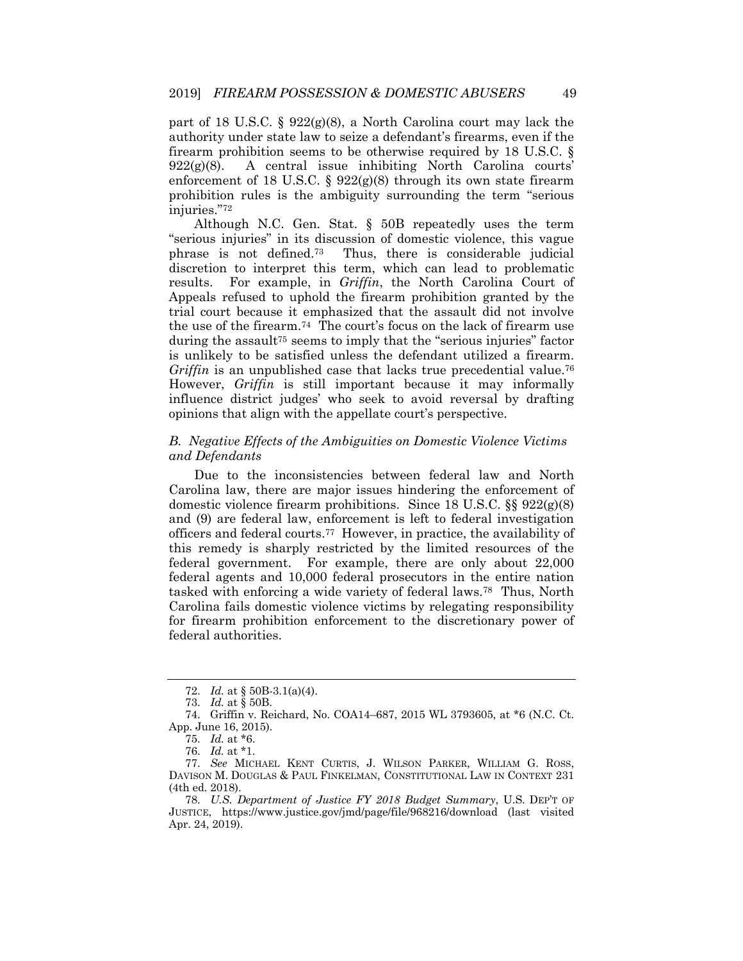part of 18 U.S.C. § 922(g)(8), a North Carolina court may lack the authority under state law to seize a defendant's firearms, even if the firearm prohibition seems to be otherwise required by 18 U.S.C. §  $922(g)(8)$ . A central issue inhibiting North Carolina courts' enforcement of 18 U.S.C. §  $922(g)(8)$  through its own state firearm prohibition rules is the ambiguity surrounding the term "serious injuries."72

Although N.C. Gen. Stat. § 50B repeatedly uses the term "serious injuries" in its discussion of domestic violence, this vague phrase is not defined.73 Thus, there is considerable judicial discretion to interpret this term, which can lead to problematic results. For example, in *Griffin*, the North Carolina Court of Appeals refused to uphold the firearm prohibition granted by the trial court because it emphasized that the assault did not involve the use of the firearm.74 The court's focus on the lack of firearm use during the assault<sup>75</sup> seems to imply that the "serious injuries" factor is unlikely to be satisfied unless the defendant utilized a firearm. *Griffin* is an unpublished case that lacks true precedential value.<sup>76</sup> However, *Griffin* is still important because it may informally influence district judges' who seek to avoid reversal by drafting opinions that align with the appellate court's perspective.

# *B. Negative Effects of the Ambiguities on Domestic Violence Victims and Defendants*

Due to the inconsistencies between federal law and North Carolina law, there are major issues hindering the enforcement of domestic violence firearm prohibitions. Since 18 U.S.C. §§ 922(g)(8) and (9) are federal law, enforcement is left to federal investigation officers and federal courts.77 However, in practice, the availability of this remedy is sharply restricted by the limited resources of the federal government. For example, there are only about 22,000 federal agents and 10,000 federal prosecutors in the entire nation tasked with enforcing a wide variety of federal laws.78 Thus, North Carolina fails domestic violence victims by relegating responsibility for firearm prohibition enforcement to the discretionary power of federal authorities.

<sup>72.</sup> *Id.* at § 50B-3.1(a)(4).

<sup>73.</sup> *Id.* at § 50B.

<sup>74.</sup> Griffin v. Reichard, No. COA14–687, 2015 WL 3793605, at \*6 (N.C. Ct. App. June 16, 2015).

<sup>75.</sup> *Id.* at \*6.

<sup>76.</sup> *Id.* at \*1.

<sup>77.</sup> *See* MICHAEL KENT CURTIS, J. WILSON PARKER, WILLIAM G. ROSS, DAVISON M. DOUGLAS & PAUL FINKELMAN, CONSTITUTIONAL LAW IN CONTEXT 231 (4th ed. 2018).

<sup>78.</sup> *U.S. Department of Justice FY 2018 Budget Summary*, U.S. DEP'T OF JUSTICE, https://www.justice.gov/jmd/page/file/968216/download (last visited Apr. 24, 2019).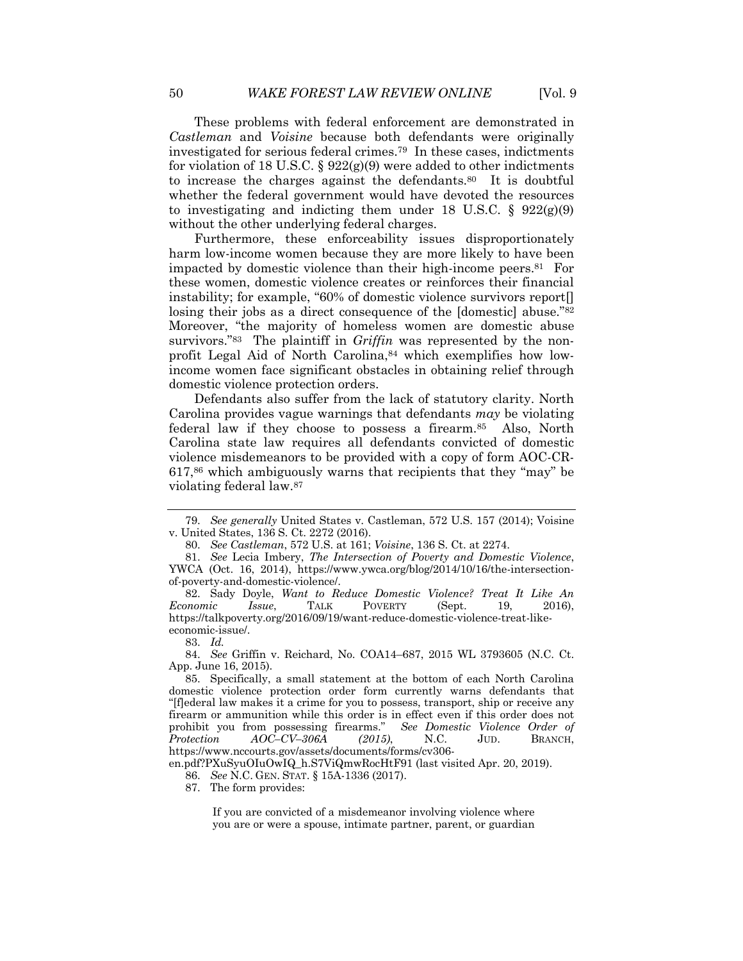These problems with federal enforcement are demonstrated in *Castleman* and *Voisine* because both defendants were originally investigated for serious federal crimes.79 In these cases, indictments for violation of 18 U.S.C. §  $922(g)(9)$  were added to other indictments to increase the charges against the defendants.<sup>80</sup> It is doubtful whether the federal government would have devoted the resources to investigating and indicting them under 18 U.S.C.  $\S$  922(g)(9) without the other underlying federal charges.

Furthermore, these enforceability issues disproportionately harm low-income women because they are more likely to have been impacted by domestic violence than their high-income peers.81 For these women, domestic violence creates or reinforces their financial instability; for example, "60% of domestic violence survivors report[] losing their jobs as a direct consequence of the [domestic] abuse."<sup>82</sup> Moreover, "the majority of homeless women are domestic abuse survivors."<sup>83</sup> The plaintiff in *Griffin* was represented by the nonprofit Legal Aid of North Carolina, 84 which exemplifies how lowincome women face significant obstacles in obtaining relief through domestic violence protection orders.

Defendants also suffer from the lack of statutory clarity. North Carolina provides vague warnings that defendants *may* be violating federal law if they choose to possess a firearm.85 Also, North Carolina state law requires all defendants convicted of domestic violence misdemeanors to be provided with a copy of form AOC-CR-617,86 which ambiguously warns that recipients that they "may" be violating federal law.87

83. *Id.*

84. *See* Griffin v. Reichard, No. COA14–687, 2015 WL 3793605 (N.C. Ct. App. June 16, 2015).

en.pdf?PXuSyuOIuOwIQ\_h.S7ViQmwRocHtF91 (last visited Apr. 20, 2019).

87. The form provides:

If you are convicted of a misdemeanor involving violence where you are or were a spouse, intimate partner, parent, or guardian

<sup>79.</sup> *See generally* United States v. Castleman, 572 U.S. 157 (2014); Voisine v. United States, 136 S. Ct. 2272 (2016).

<sup>80.</sup> *See Castleman*, 572 U.S. at 161; *Voisine*, 136 S. Ct. at 2274.

<sup>81.</sup> *See* Lecia Imbery, *The Intersection of Poverty and Domestic Violence*, YWCA (Oct. 16, 2014), https://www.ywca.org/blog/2014/10/16/the-intersectionof-poverty-and-domestic-violence/.

<sup>82.</sup> Sady Doyle, *Want to Reduce Domestic Violence? Treat It Like An Economic Issue*, TALK POVERTY (Sept. 19, 2016), https://talkpoverty.org/2016/09/19/want-reduce-domestic-violence-treat-likeeconomic-issue/.

<sup>85.</sup> Specifically, a small statement at the bottom of each North Carolina domestic violence protection order form currently warns defendants that "[f]ederal law makes it a crime for you to possess, transport, ship or receive any firearm or ammunition while this order is in effect even if this order does not prohibit you from possessing firearms." *See Domestic Violence Order of Protection AOC–CV–306A (2015)*, N.C. JUD. BRANCH, https://www.nccourts.gov/assets/documents/forms/cv306-

<sup>86.</sup> *See* N.C. GEN. STAT. § 15A-1336 (2017).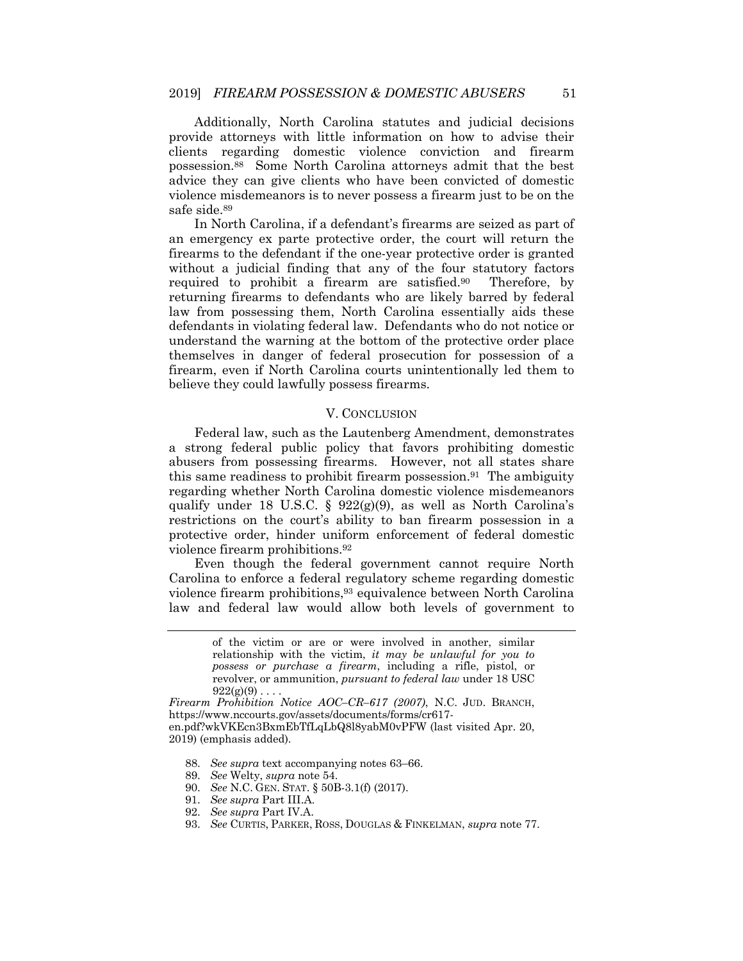Additionally, North Carolina statutes and judicial decisions provide attorneys with little information on how to advise their clients regarding domestic violence conviction and firearm possession.88 Some North Carolina attorneys admit that the best advice they can give clients who have been convicted of domestic violence misdemeanors is to never possess a firearm just to be on the safe side.89

In North Carolina, if a defendant's firearms are seized as part of an emergency ex parte protective order, the court will return the firearms to the defendant if the one-year protective order is granted without a judicial finding that any of the four statutory factors required to prohibit a firearm are satisfied.90 Therefore, by returning firearms to defendants who are likely barred by federal law from possessing them, North Carolina essentially aids these defendants in violating federal law. Defendants who do not notice or understand the warning at the bottom of the protective order place themselves in danger of federal prosecution for possession of a firearm, even if North Carolina courts unintentionally led them to believe they could lawfully possess firearms.

# V. CONCLUSION

Federal law, such as the Lautenberg Amendment, demonstrates a strong federal public policy that favors prohibiting domestic abusers from possessing firearms. However, not all states share this same readiness to prohibit firearm possession.<sup>91</sup> The ambiguity regarding whether North Carolina domestic violence misdemeanors qualify under 18 U.S.C. § 922(g)(9), as well as North Carolina's restrictions on the court's ability to ban firearm possession in a protective order, hinder uniform enforcement of federal domestic violence firearm prohibitions.92

Even though the federal government cannot require North Carolina to enforce a federal regulatory scheme regarding domestic violence firearm prohibitions,93 equivalence between North Carolina law and federal law would allow both levels of government to

- 90. *See* N.C. GEN. STAT. § 50B-3.1(f) (2017).
- 91. *See supra* Part III.A.

93. *See* CURTIS, PARKER, ROSS, DOUGLAS & FINKELMAN, *supra* note 77.

of the victim or are or were involved in another, similar relationship with the victim, *it may be unlawful for you to possess or purchase a firearm*, including a rifle, pistol, or revolver, or ammunition, *pursuant to federal law* under 18 USC  $922(g)(9)$ ...

*Firearm Prohibition Notice AOC–CR–617 (2007)*, N.C. JUD. BRANCH, https://www.nccourts.gov/assets/documents/forms/cr617 en.pdf?wkVKEcn3BxmEbTfLqLbQ8l8yabM0vPFW (last visited Apr. 20, 2019) (emphasis added).

<sup>88.</sup> *See supra* text accompanying notes 63–66.

<sup>89.</sup> *See* Welty, *supra* note 54.

<sup>92.</sup> *See supra* Part IV.A.